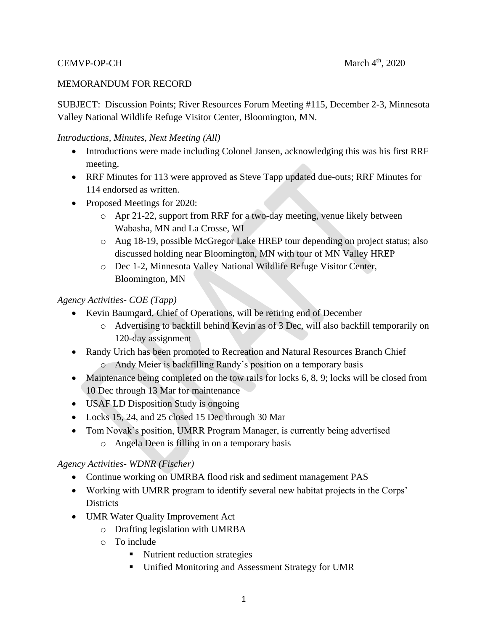### CEMVP-OP-CH

### MEMORANDUM FOR RECORD

SUBJECT: Discussion Points; River Resources Forum Meeting #115, December 2-3, Minnesota Valley National Wildlife Refuge Visitor Center, Bloomington, MN.

### *Introductions, Minutes, Next Meeting (All)*

- Introductions were made including Colonel Jansen, acknowledging this was his first RRF meeting.
- RRF Minutes for 113 were approved as Steve Tapp updated due-outs; RRF Minutes for 114 endorsed as written.
- Proposed Meetings for 2020:
	- o Apr 21-22, support from RRF for a two-day meeting, venue likely between Wabasha, MN and La Crosse, WI
	- o Aug 18-19, possible McGregor Lake HREP tour depending on project status; also discussed holding near Bloomington, MN with tour of MN Valley HREP
	- o Dec 1-2, Minnesota Valley National Wildlife Refuge Visitor Center, Bloomington, MN

# *Agency Activities- COE (Tapp)*

- Kevin Baumgard, Chief of Operations, will be retiring end of December
	- o Advertising to backfill behind Kevin as of 3 Dec, will also backfill temporarily on 120-day assignment
- Randy Urich has been promoted to Recreation and Natural Resources Branch Chief
	- o Andy Meier is backfilling Randy's position on a temporary basis
- Maintenance being completed on the tow rails for locks 6, 8, 9; locks will be closed from 10 Dec through 13 Mar for maintenance
- USAF LD Disposition Study is ongoing
- Locks 15, 24, and 25 closed 15 Dec through 30 Mar
- Tom Novak's position, UMRR Program Manager, is currently being advertised o Angela Deen is filling in on a temporary basis

# *Agency Activities- WDNR (Fischer)*

- Continue working on UMRBA flood risk and sediment management PAS
- Working with UMRR program to identify several new habitat projects in the Corps' **Districts**
- UMR Water Quality Improvement Act
	- o Drafting legislation with UMRBA
	- o To include
		- Nutrient reduction strategies
		- **Unified Monitoring and Assessment Strategy for UMR**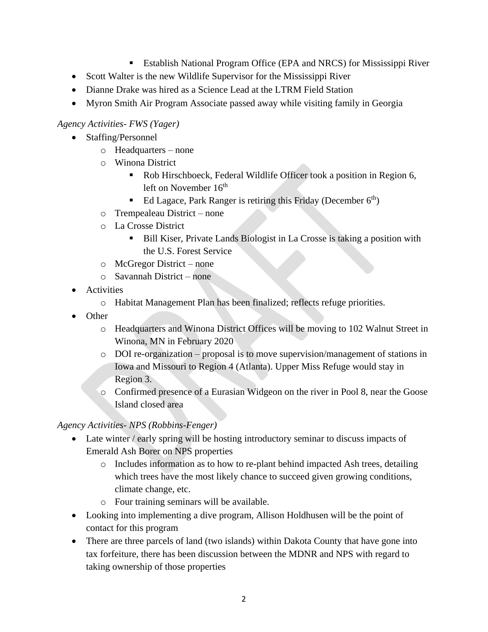- Establish National Program Office (EPA and NRCS) for Mississippi River
- Scott Walter is the new Wildlife Supervisor for the Mississippi River
- Dianne Drake was hired as a Science Lead at the LTRM Field Station
- Myron Smith Air Program Associate passed away while visiting family in Georgia

### *Agency Activities- FWS (Yager)*

- Staffing/Personnel
	- o Headquarters none
	- o Winona District
		- Rob Hirschboeck, Federal Wildlife Officer took a position in Region 6, left on November  $16<sup>th</sup>$
		- Ed Lagace, Park Ranger is retiring this Friday (December  $6<sup>th</sup>$ )
	- o Trempealeau District none
	- o La Crosse District
		- Bill Kiser, Private Lands Biologist in La Crosse is taking a position with the U.S. Forest Service
	- o McGregor District none
	- o Savannah District none
- Activities
	- o Habitat Management Plan has been finalized; reflects refuge priorities.
- Other
	- o Headquarters and Winona District Offices will be moving to 102 Walnut Street in Winona, MN in February 2020
	- o DOI re-organization proposal is to move supervision/management of stations in Iowa and Missouri to Region 4 (Atlanta). Upper Miss Refuge would stay in Region 3.
	- o Confirmed presence of a Eurasian Widgeon on the river in Pool 8, near the Goose Island closed area

### *Agency Activities- NPS (Robbins-Fenger)*

- Late winter / early spring will be hosting introductory seminar to discuss impacts of Emerald Ash Borer on NPS properties
	- o Includes information as to how to re-plant behind impacted Ash trees, detailing which trees have the most likely chance to succeed given growing conditions, climate change, etc.
	- o Four training seminars will be available.
- Looking into implementing a dive program, Allison Holdhusen will be the point of contact for this program
- There are three parcels of land (two islands) within Dakota County that have gone into tax forfeiture, there has been discussion between the MDNR and NPS with regard to taking ownership of those properties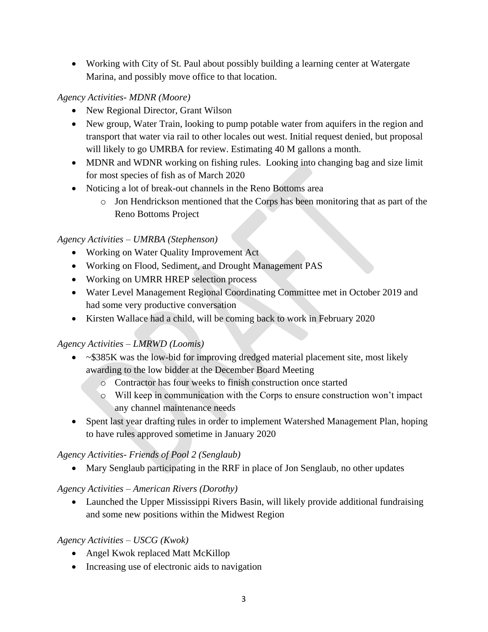Working with City of St. Paul about possibly building a learning center at Watergate Marina, and possibly move office to that location.

## *Agency Activities- MDNR (Moore)*

- New Regional Director, Grant Wilson
- New group, Water Train, looking to pump potable water from aquifers in the region and transport that water via rail to other locales out west. Initial request denied, but proposal will likely to go UMRBA for review. Estimating 40 M gallons a month.
- MDNR and WDNR working on fishing rules. Looking into changing bag and size limit for most species of fish as of March 2020
- Noticing a lot of break-out channels in the Reno Bottoms area
	- o Jon Hendrickson mentioned that the Corps has been monitoring that as part of the Reno Bottoms Project

# *Agency Activities – UMRBA (Stephenson)*

- Working on Water Quality Improvement Act
- Working on Flood, Sediment, and Drought Management PAS
- Working on UMRR HREP selection process
- Water Level Management Regional Coordinating Committee met in October 2019 and had some very productive conversation
- Kirsten Wallace had a child, will be coming back to work in February 2020

# *Agency Activities – LMRWD (Loomis)*

- $\sim$  \$385K was the low-bid for improving dredged material placement site, most likely awarding to the low bidder at the December Board Meeting
	- o Contractor has four weeks to finish construction once started
	- o Will keep in communication with the Corps to ensure construction won't impact any channel maintenance needs
- Spent last year drafting rules in order to implement Watershed Management Plan, hoping to have rules approved sometime in January 2020

# *Agency Activities- Friends of Pool 2 (Senglaub)*

• Mary Senglaub participating in the RRF in place of Jon Senglaub, no other updates

# *Agency Activities – American Rivers (Dorothy)*

• Launched the Upper Mississippi Rivers Basin, will likely provide additional fundraising and some new positions within the Midwest Region

# *Agency Activities – USCG (Kwok)*

- Angel Kwok replaced Matt McKillop
- Increasing use of electronic aids to navigation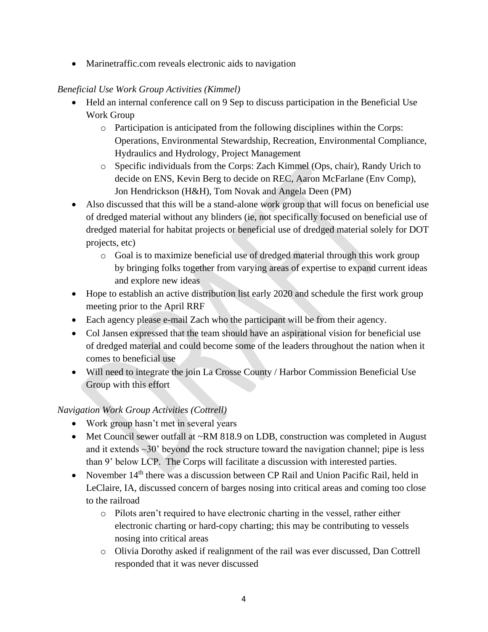• Marinetraffic.com reveals electronic aids to navigation

# *Beneficial Use Work Group Activities (Kimmel)*

- Held an internal conference call on 9 Sep to discuss participation in the Beneficial Use Work Group
	- o Participation is anticipated from the following disciplines within the Corps: Operations, Environmental Stewardship, Recreation, Environmental Compliance, Hydraulics and Hydrology, Project Management
	- o Specific individuals from the Corps: Zach Kimmel (Ops, chair), Randy Urich to decide on ENS, Kevin Berg to decide on REC, Aaron McFarlane (Env Comp), Jon Hendrickson (H&H), Tom Novak and Angela Deen (PM)
- Also discussed that this will be a stand-alone work group that will focus on beneficial use of dredged material without any blinders (ie, not specifically focused on beneficial use of dredged material for habitat projects or beneficial use of dredged material solely for DOT projects, etc)
	- o Goal is to maximize beneficial use of dredged material through this work group by bringing folks together from varying areas of expertise to expand current ideas and explore new ideas
- Hope to establish an active distribution list early 2020 and schedule the first work group meeting prior to the April RRF
- Each agency please e-mail Zach who the participant will be from their agency.
- Col Jansen expressed that the team should have an aspirational vision for beneficial use of dredged material and could become some of the leaders throughout the nation when it comes to beneficial use
- Will need to integrate the join La Crosse County / Harbor Commission Beneficial Use Group with this effort

# *Navigation Work Group Activities (Cottrell)*

- Work group hasn't met in several years
- Met Council sewer outfall at ~RM 818.9 on LDB, construction was completed in August and it extends  $\sim$ 30' beyond the rock structure toward the navigation channel; pipe is less than 9' below LCP. The Corps will facilitate a discussion with interested parties.
- November  $14<sup>th</sup>$  there was a discussion between CP Rail and Union Pacific Rail, held in LeClaire, IA, discussed concern of barges nosing into critical areas and coming too close to the railroad
	- o Pilots aren't required to have electronic charting in the vessel, rather either electronic charting or hard-copy charting; this may be contributing to vessels nosing into critical areas
	- o Olivia Dorothy asked if realignment of the rail was ever discussed, Dan Cottrell responded that it was never discussed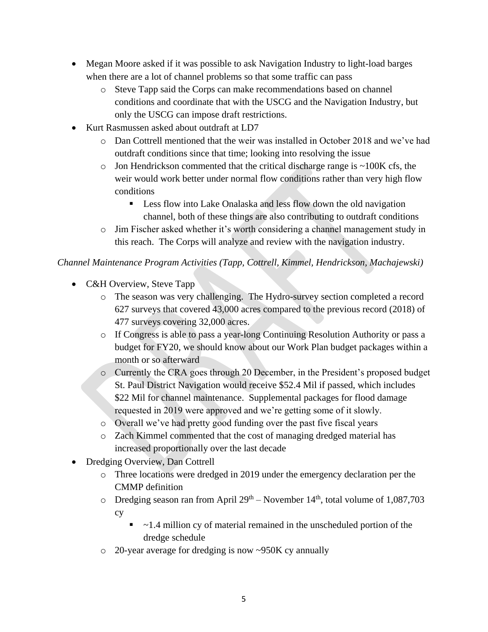- Megan Moore asked if it was possible to ask Navigation Industry to light-load barges when there are a lot of channel problems so that some traffic can pass
	- o Steve Tapp said the Corps can make recommendations based on channel conditions and coordinate that with the USCG and the Navigation Industry, but only the USCG can impose draft restrictions.
- Kurt Rasmussen asked about outdraft at LD7
	- o Dan Cottrell mentioned that the weir was installed in October 2018 and we've had outdraft conditions since that time; looking into resolving the issue
	- $\circ$  Jon Hendrickson commented that the critical discharge range is  $\sim$ 100K cfs, the weir would work better under normal flow conditions rather than very high flow conditions
		- **Less flow into Lake Onalaska and less flow down the old navigation** channel, both of these things are also contributing to outdraft conditions
	- o Jim Fischer asked whether it's worth considering a channel management study in this reach. The Corps will analyze and review with the navigation industry.

# *Channel Maintenance Program Activities (Tapp, Cottrell, Kimmel, Hendrickson, Machajewski)*

- C&H Overview, Steve Tapp
	- o The season was very challenging. The Hydro-survey section completed a record 627 surveys that covered 43,000 acres compared to the previous record (2018) of 477 surveys covering 32,000 acres.
	- o If Congress is able to pass a year-long Continuing Resolution Authority or pass a budget for FY20, we should know about our Work Plan budget packages within a month or so afterward
	- o Currently the CRA goes through 20 December, in the President's proposed budget St. Paul District Navigation would receive \$52.4 Mil if passed, which includes \$22 Mil for channel maintenance. Supplemental packages for flood damage requested in 2019 were approved and we're getting some of it slowly.
	- o Overall we've had pretty good funding over the past five fiscal years
	- o Zach Kimmel commented that the cost of managing dredged material has increased proportionally over the last decade
- Dredging Overview, Dan Cottrell
	- o Three locations were dredged in 2019 under the emergency declaration per the CMMP definition
	- $\circ$  Dredging season ran from April 29<sup>th</sup> November 14<sup>th</sup>, total volume of 1,087,703 cy
		- $\blacksquare$  ~1.4 million cy of material remained in the unscheduled portion of the dredge schedule
	- o 20-year average for dredging is now ~950K cy annually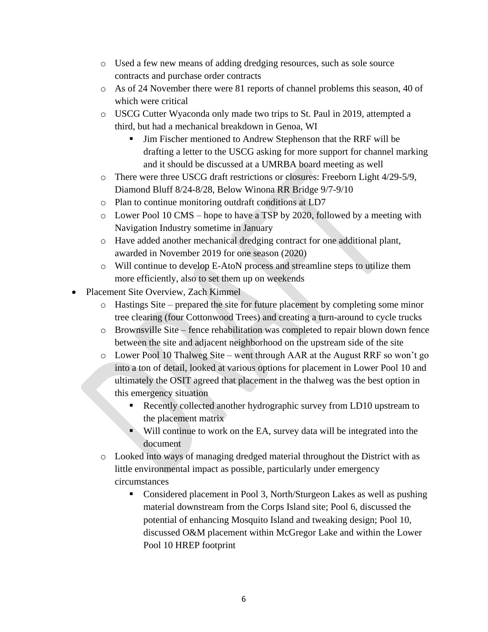- o Used a few new means of adding dredging resources, such as sole source contracts and purchase order contracts
- o As of 24 November there were 81 reports of channel problems this season, 40 of which were critical
- o USCG Cutter Wyaconda only made two trips to St. Paul in 2019, attempted a third, but had a mechanical breakdown in Genoa, WI
	- Jim Fischer mentioned to Andrew Stephenson that the RRF will be drafting a letter to the USCG asking for more support for channel marking and it should be discussed at a UMRBA board meeting as well
- $\circ$  There were three USCG draft restrictions or closures: Freeborn Light 4/29-5/9, Diamond Bluff 8/24-8/28, Below Winona RR Bridge 9/7-9/10
- o Plan to continue monitoring outdraft conditions at LD7
- o Lower Pool 10 CMS hope to have a TSP by 2020, followed by a meeting with Navigation Industry sometime in January
- o Have added another mechanical dredging contract for one additional plant, awarded in November 2019 for one season (2020)
- o Will continue to develop E-AtoN process and streamline steps to utilize them more efficiently, also to set them up on weekends
- Placement Site Overview, Zach Kimmel
	- $\circ$  Hastings Site prepared the site for future placement by completing some minor tree clearing (four Cottonwood Trees) and creating a turn-around to cycle trucks
	- o Brownsville Site fence rehabilitation was completed to repair blown down fence between the site and adjacent neighborhood on the upstream side of the site
	- o Lower Pool 10 Thalweg Site went through AAR at the August RRF so won't go into a ton of detail, looked at various options for placement in Lower Pool 10 and ultimately the OSIT agreed that placement in the thalweg was the best option in this emergency situation
		- Recently collected another hydrographic survey from LD10 upstream to the placement matrix
		- Will continue to work on the EA, survey data will be integrated into the document
	- o Looked into ways of managing dredged material throughout the District with as little environmental impact as possible, particularly under emergency circumstances
		- Considered placement in Pool 3, North/Sturgeon Lakes as well as pushing material downstream from the Corps Island site; Pool 6, discussed the potential of enhancing Mosquito Island and tweaking design; Pool 10, discussed O&M placement within McGregor Lake and within the Lower Pool 10 HREP footprint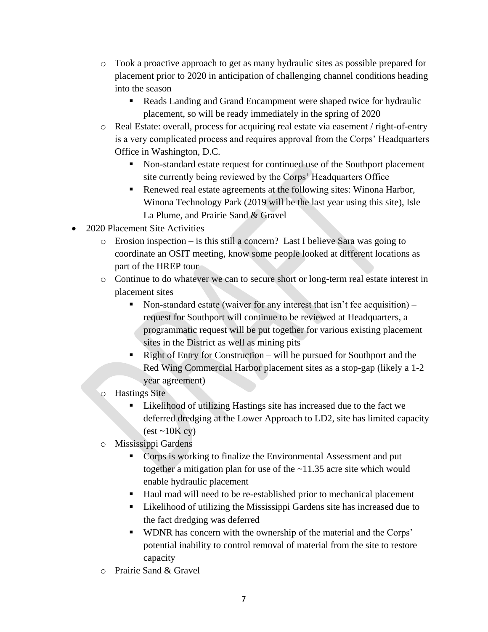- o Took a proactive approach to get as many hydraulic sites as possible prepared for placement prior to 2020 in anticipation of challenging channel conditions heading into the season
	- Reads Landing and Grand Encampment were shaped twice for hydraulic placement, so will be ready immediately in the spring of 2020
- o Real Estate: overall, process for acquiring real estate via easement / right-of-entry is a very complicated process and requires approval from the Corps' Headquarters Office in Washington, D.C.
	- Non-standard estate request for continued use of the Southport placement site currently being reviewed by the Corps' Headquarters Office
	- Renewed real estate agreements at the following sites: Winona Harbor, Winona Technology Park (2019 will be the last year using this site), Isle La Plume, and Prairie Sand & Gravel
- 2020 Placement Site Activities
	- o Erosion inspection is this still a concern? Last I believe Sara was going to coordinate an OSIT meeting, know some people looked at different locations as part of the HREP tour
	- o Continue to do whatever we can to secure short or long-term real estate interest in placement sites
		- Non-standard estate (waiver for any interest that isn't fee acquisition) request for Southport will continue to be reviewed at Headquarters, a programmatic request will be put together for various existing placement sites in the District as well as mining pits
		- Right of Entry for Construction will be pursued for Southport and the Red Wing Commercial Harbor placement sites as a stop-gap (likely a 1-2 year agreement)
	- o Hastings Site
		- Likelihood of utilizing Hastings site has increased due to the fact we deferred dredging at the Lower Approach to LD2, site has limited capacity  $(\text{est} \sim 10 \text{K} \text{cy})$
	- o Mississippi Gardens
		- **Corps is working to finalize the Environmental Assessment and put** together a mitigation plan for use of the ~11.35 acre site which would enable hydraulic placement
		- Haul road will need to be re-established prior to mechanical placement
		- **Likelihood of utilizing the Mississippi Gardens site has increased due to** the fact dredging was deferred
		- WDNR has concern with the ownership of the material and the Corps' potential inability to control removal of material from the site to restore capacity
	- o Prairie Sand & Gravel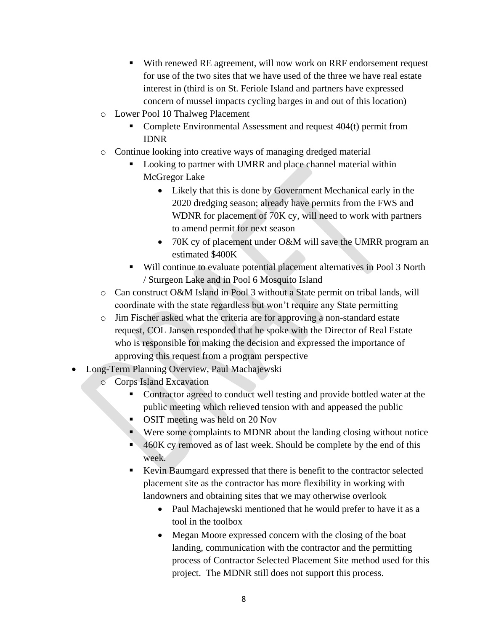- With renewed RE agreement, will now work on RRF endorsement request for use of the two sites that we have used of the three we have real estate interest in (third is on St. Feriole Island and partners have expressed concern of mussel impacts cycling barges in and out of this location)
- o Lower Pool 10 Thalweg Placement
	- Complete Environmental Assessment and request 404(t) permit from IDNR
- o Continue looking into creative ways of managing dredged material
	- Looking to partner with UMRR and place channel material within McGregor Lake
		- Likely that this is done by Government Mechanical early in the 2020 dredging season; already have permits from the FWS and WDNR for placement of 70K cy, will need to work with partners to amend permit for next season
		- 70K cy of placement under O&M will save the UMRR program an estimated \$400K
	- Will continue to evaluate potential placement alternatives in Pool 3 North / Sturgeon Lake and in Pool 6 Mosquito Island
- o Can construct O&M Island in Pool 3 without a State permit on tribal lands, will coordinate with the state regardless but won't require any State permitting
- o Jim Fischer asked what the criteria are for approving a non-standard estate request, COL Jansen responded that he spoke with the Director of Real Estate who is responsible for making the decision and expressed the importance of approving this request from a program perspective
- Long-Term Planning Overview, Paul Machajewski
	- o Corps Island Excavation
		- Contractor agreed to conduct well testing and provide bottled water at the public meeting which relieved tension with and appeased the public
		- OSIT meeting was held on 20 Nov
		- Were some complaints to MDNR about the landing closing without notice
		- 460K cy removed as of last week. Should be complete by the end of this week.
		- Kevin Baumgard expressed that there is benefit to the contractor selected placement site as the contractor has more flexibility in working with landowners and obtaining sites that we may otherwise overlook
			- Paul Machajewski mentioned that he would prefer to have it as a tool in the toolbox
			- Megan Moore expressed concern with the closing of the boat landing, communication with the contractor and the permitting process of Contractor Selected Placement Site method used for this project. The MDNR still does not support this process.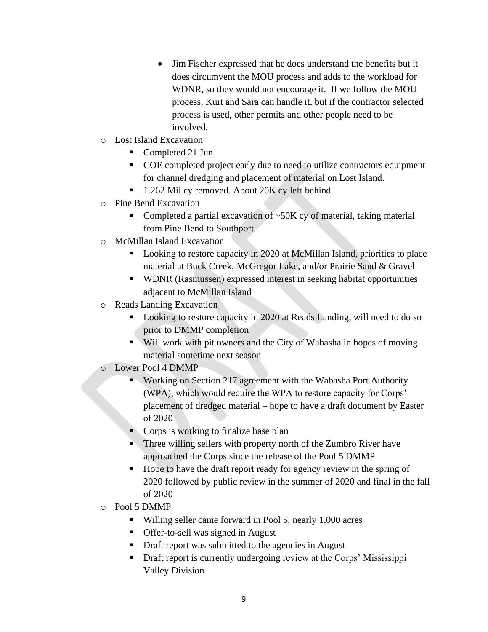- Jim Fischer expressed that he does understand the benefits but it does circumvent the MOU process and adds to the workload for WDNR, so they would not encourage it. If we follow the MOU process, Kurt and Sara can handle it, but if the contractor selected process is used, other permits and other people need to be involved.
- o Lost Island Excavation
	- Completed 21 Jun
	- COE completed project early due to need to utilize contractors equipment for channel dredging and placement of material on Lost Island.
	- 1.262 Mil cy removed. About 20K cy left behind.
- o Pine Bend Excavation
	- Completed a partial excavation of  $\sim$ 50K cy of material, taking material from Pine Bend to Southport
- o McMillan Island Excavation
	- Looking to restore capacity in 2020 at McMillan Island, priorities to place material at Buck Creek, McGregor Lake, and/or Prairie Sand & Gravel
	- WDNR (Rasmussen) expressed interest in seeking habitat opportunities adjacent to McMillan Island
- o Reads Landing Excavation
	- Looking to restore capacity in 2020 at Reads Landing, will need to do so prior to DMMP completion
	- Will work with pit owners and the City of Wabasha in hopes of moving material sometime next season
- o Lower Pool 4 DMMP
	- **Working on Section 217 agreement with the Wabasha Port Authority** (WPA), which would require the WPA to restore capacity for Corps' placement of dredged material – hope to have a draft document by Easter of 2020
	- Corps is working to finalize base plan
	- Three willing sellers with property north of the Zumbro River have approached the Corps since the release of the Pool 5 DMMP
	- Hope to have the draft report ready for agency review in the spring of 2020 followed by public review in the summer of 2020 and final in the fall of 2020
- o Pool 5 DMMP
	- Willing seller came forward in Pool 5, nearly 1,000 acres
	- **Offer-to-sell was signed in August**
	- Draft report was submitted to the agencies in August
	- Draft report is currently undergoing review at the Corps' Mississippi Valley Division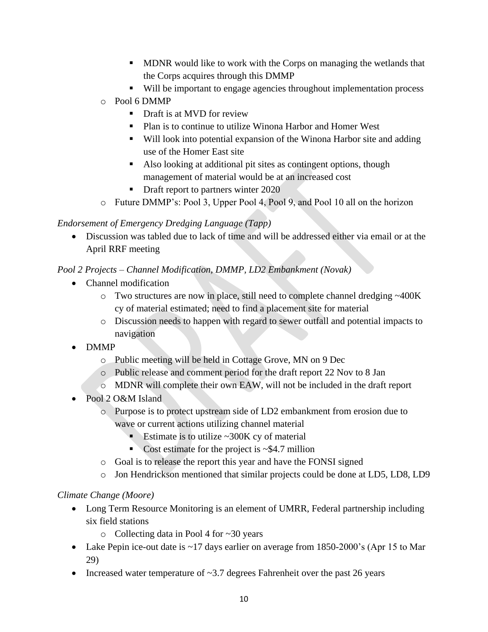- **MDNR** would like to work with the Corps on managing the wetlands that the Corps acquires through this DMMP
- Will be important to engage agencies throughout implementation process
- o Pool 6 DMMP
	- Draft is at MVD for review
	- Plan is to continue to utilize Winona Harbor and Homer West
	- Will look into potential expansion of the Winona Harbor site and adding use of the Homer East site
	- Also looking at additional pit sites as contingent options, though management of material would be at an increased cost
	- Draft report to partners winter 2020
- o Future DMMP's: Pool 3, Upper Pool 4, Pool 9, and Pool 10 all on the horizon

### *Endorsement of Emergency Dredging Language (Tapp)*

 Discussion was tabled due to lack of time and will be addressed either via email or at the April RRF meeting

# *Pool 2 Projects – Channel Modification, DMMP, LD2 Embankment (Novak)*

- Channel modification
	- o Two structures are now in place, still need to complete channel dredging ~400K cy of material estimated; need to find a placement site for material
	- o Discussion needs to happen with regard to sewer outfall and potential impacts to navigation
- DMMP
	- o Public meeting will be held in Cottage Grove, MN on 9 Dec
	- o Public release and comment period for the draft report 22 Nov to 8 Jan
	- o MDNR will complete their own EAW, will not be included in the draft report
- Pool 2 O&M Island
	- o Purpose is to protect upstream side of LD2 embankment from erosion due to wave or current actions utilizing channel material
		- Estimate is to utilize ~300K cy of material
		- Cost estimate for the project is  $\sim$ \$4.7 million
	- o Goal is to release the report this year and have the FONSI signed
	- o Jon Hendrickson mentioned that similar projects could be done at LD5, LD8, LD9

### *Climate Change (Moore)*

- Long Term Resource Monitoring is an element of UMRR, Federal partnership including six field stations
	- o Collecting data in Pool 4 for ~30 years
- Lake Pepin ice-out date is ~17 days earlier on average from 1850-2000's (Apr 15 to Mar 29)
- Increased water temperature of  $\sim$ 3.7 degrees Fahrenheit over the past 26 years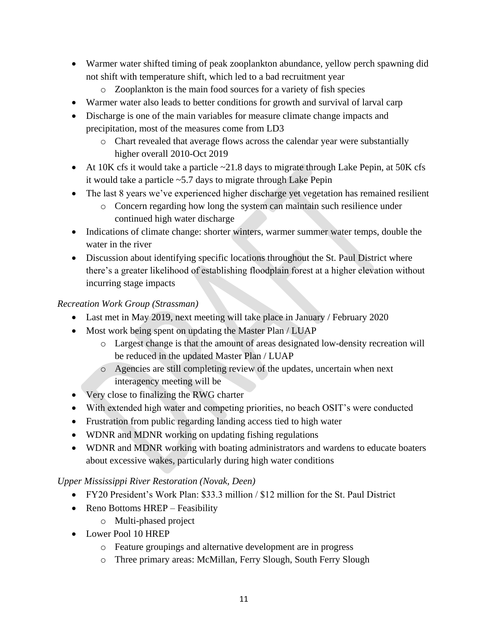- Warmer water shifted timing of peak zooplankton abundance, yellow perch spawning did not shift with temperature shift, which led to a bad recruitment year
	- o Zooplankton is the main food sources for a variety of fish species
- Warmer water also leads to better conditions for growth and survival of larval carp
- Discharge is one of the main variables for measure climate change impacts and precipitation, most of the measures come from LD3
	- o Chart revealed that average flows across the calendar year were substantially higher overall 2010-Oct 2019
- At 10K cfs it would take a particle  $\sim$  21.8 days to migrate through Lake Pepin, at 50K cfs it would take a particle ~5.7 days to migrate through Lake Pepin
- The last 8 years we've experienced higher discharge yet vegetation has remained resilient
	- o Concern regarding how long the system can maintain such resilience under continued high water discharge
- Indications of climate change: shorter winters, warmer summer water temps, double the water in the river
- Discussion about identifying specific locations throughout the St. Paul District where there's a greater likelihood of establishing floodplain forest at a higher elevation without incurring stage impacts

### *Recreation Work Group (Strassman)*

- Last met in May 2019, next meeting will take place in January / February 2020
- Most work being spent on updating the Master Plan / LUAP
	- o Largest change is that the amount of areas designated low-density recreation will be reduced in the updated Master Plan / LUAP
	- o Agencies are still completing review of the updates, uncertain when next interagency meeting will be
- Very close to finalizing the RWG charter
- With extended high water and competing priorities, no beach OSIT's were conducted
- Frustration from public regarding landing access tied to high water
- WDNR and MDNR working on updating fishing regulations
- WDNR and MDNR working with boating administrators and wardens to educate boaters about excessive wakes, particularly during high water conditions

# *Upper Mississippi River Restoration (Novak, Deen)*

- FY20 President's Work Plan: \$33.3 million / \$12 million for the St. Paul District
- Reno Bottoms HREP Feasibility
	- o Multi-phased project
- Lower Pool 10 HREP
	- o Feature groupings and alternative development are in progress
	- o Three primary areas: McMillan, Ferry Slough, South Ferry Slough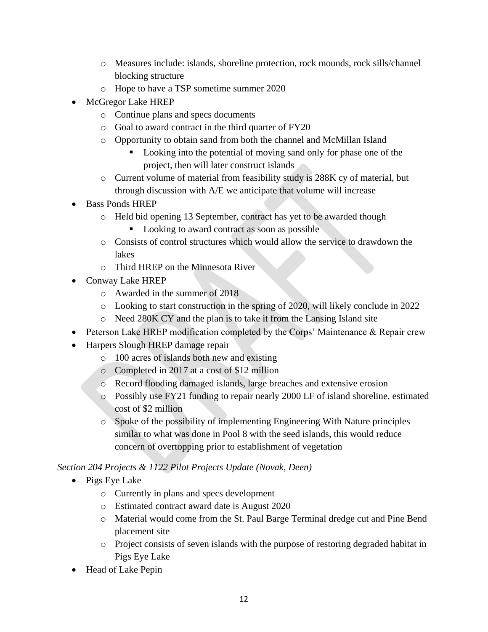- o Measures include: islands, shoreline protection, rock mounds, rock sills/channel blocking structure
- o Hope to have a TSP sometime summer 2020
- McGregor Lake HREP
	- o Continue plans and specs documents
	- o Goal to award contract in the third quarter of FY20
	- o Opportunity to obtain sand from both the channel and McMillan Island
		- **Looking into the potential of moving sand only for phase one of the** project, then will later construct islands
	- o Current volume of material from feasibility study is 288K cy of material, but through discussion with A/E we anticipate that volume will increase
- Bass Ponds HREP
	- o Held bid opening 13 September, contract has yet to be awarded though
		- Looking to award contract as soon as possible
	- o Consists of control structures which would allow the service to drawdown the lakes
	- o Third HREP on the Minnesota River
- Conway Lake HREP
	- o Awarded in the summer of 2018
	- o Looking to start construction in the spring of 2020, will likely conclude in 2022
	- o Need 280K CY and the plan is to take it from the Lansing Island site
- Peterson Lake HREP modification completed by the Corps' Maintenance & Repair crew
- Harpers Slough HREP damage repair
	- o 100 acres of islands both new and existing
	- o Completed in 2017 at a cost of \$12 million
	- o Record flooding damaged islands, large breaches and extensive erosion
	- o Possibly use FY21 funding to repair nearly 2000 LF of island shoreline, estimated cost of \$2 million
	- o Spoke of the possibility of implementing Engineering With Nature principles similar to what was done in Pool 8 with the seed islands, this would reduce concern of overtopping prior to establishment of vegetation

*Section 204 Projects & 1122 Pilot Projects Update (Novak, Deen)*

- Pigs Eye Lake
	- o Currently in plans and specs development
	- o Estimated contract award date is August 2020
	- o Material would come from the St. Paul Barge Terminal dredge cut and Pine Bend placement site
	- o Project consists of seven islands with the purpose of restoring degraded habitat in Pigs Eye Lake
- Head of Lake Pepin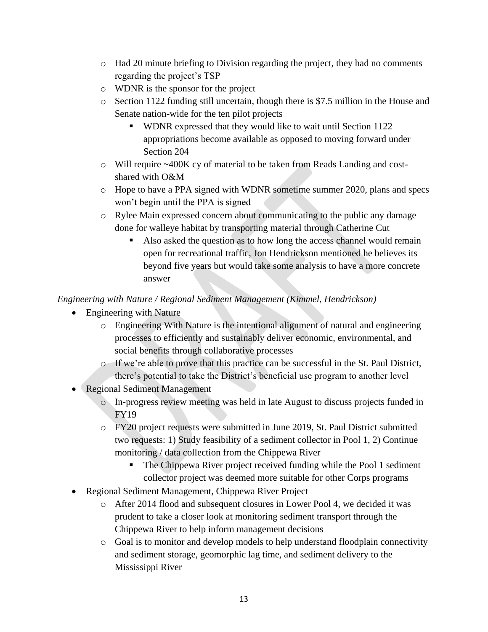- o Had 20 minute briefing to Division regarding the project, they had no comments regarding the project's TSP
- o WDNR is the sponsor for the project
- o Section 1122 funding still uncertain, though there is \$7.5 million in the House and Senate nation-wide for the ten pilot projects
	- WDNR expressed that they would like to wait until Section 1122 appropriations become available as opposed to moving forward under Section 204
- o Will require ~400K cy of material to be taken from Reads Landing and costshared with O&M
- o Hope to have a PPA signed with WDNR sometime summer 2020, plans and specs won't begin until the PPA is signed
- o Rylee Main expressed concern about communicating to the public any damage done for walleye habitat by transporting material through Catherine Cut
	- Also asked the question as to how long the access channel would remain open for recreational traffic, Jon Hendrickson mentioned he believes its beyond five years but would take some analysis to have a more concrete answer

# *Engineering with Nature / Regional Sediment Management (Kimmel, Hendrickson)*

- Engineering with Nature
	- o Engineering With Nature is the intentional alignment of natural and engineering processes to efficiently and sustainably deliver economic, environmental, and social benefits through collaborative processes
	- o If we're able to prove that this practice can be successful in the St. Paul District, there's potential to take the District's beneficial use program to another level
- Regional Sediment Management
	- o In-progress review meeting was held in late August to discuss projects funded in FY19
	- o FY20 project requests were submitted in June 2019, St. Paul District submitted two requests: 1) Study feasibility of a sediment collector in Pool 1, 2) Continue monitoring / data collection from the Chippewa River
		- The Chippewa River project received funding while the Pool 1 sediment collector project was deemed more suitable for other Corps programs
- Regional Sediment Management, Chippewa River Project
	- o After 2014 flood and subsequent closures in Lower Pool 4, we decided it was prudent to take a closer look at monitoring sediment transport through the Chippewa River to help inform management decisions
	- o Goal is to monitor and develop models to help understand floodplain connectivity and sediment storage, geomorphic lag time, and sediment delivery to the Mississippi River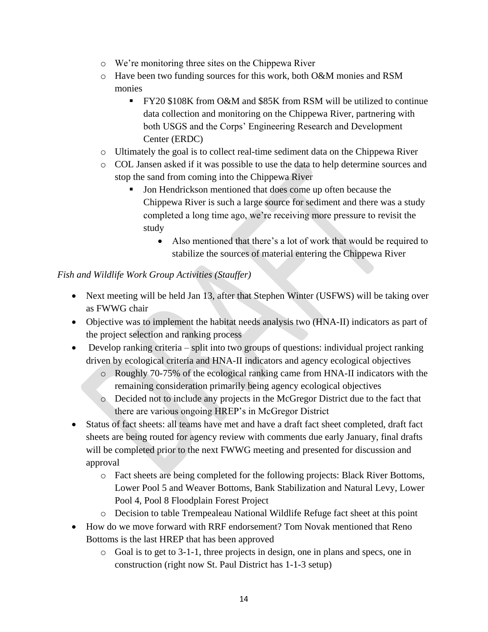- o We're monitoring three sites on the Chippewa River
- o Have been two funding sources for this work, both O&M monies and RSM monies
	- FY20 \$108K from O&M and \$85K from RSM will be utilized to continue data collection and monitoring on the Chippewa River, partnering with both USGS and the Corps' Engineering Research and Development Center (ERDC)
- o Ultimately the goal is to collect real-time sediment data on the Chippewa River
- o COL Jansen asked if it was possible to use the data to help determine sources and stop the sand from coming into the Chippewa River
	- If Jon Hendrickson mentioned that does come up often because the Chippewa River is such a large source for sediment and there was a study completed a long time ago, we're receiving more pressure to revisit the study
		- Also mentioned that there's a lot of work that would be required to stabilize the sources of material entering the Chippewa River

# *Fish and Wildlife Work Group Activities (Stauffer)*

- Next meeting will be held Jan 13, after that Stephen Winter (USFWS) will be taking over as FWWG chair
- Objective was to implement the habitat needs analysis two (HNA-II) indicators as part of the project selection and ranking process
- Develop ranking criteria split into two groups of questions: individual project ranking driven by ecological criteria and HNA-II indicators and agency ecological objectives
	- o Roughly 70-75% of the ecological ranking came from HNA-II indicators with the remaining consideration primarily being agency ecological objectives
	- o Decided not to include any projects in the McGregor District due to the fact that there are various ongoing HREP's in McGregor District
- Status of fact sheets: all teams have met and have a draft fact sheet completed, draft fact sheets are being routed for agency review with comments due early January, final drafts will be completed prior to the next FWWG meeting and presented for discussion and approval
	- o Fact sheets are being completed for the following projects: Black River Bottoms, Lower Pool 5 and Weaver Bottoms, Bank Stabilization and Natural Levy, Lower Pool 4, Pool 8 Floodplain Forest Project
	- o Decision to table Trempealeau National Wildlife Refuge fact sheet at this point
- How do we move forward with RRF endorsement? Tom Novak mentioned that Reno Bottoms is the last HREP that has been approved
	- o Goal is to get to 3-1-1, three projects in design, one in plans and specs, one in construction (right now St. Paul District has 1-1-3 setup)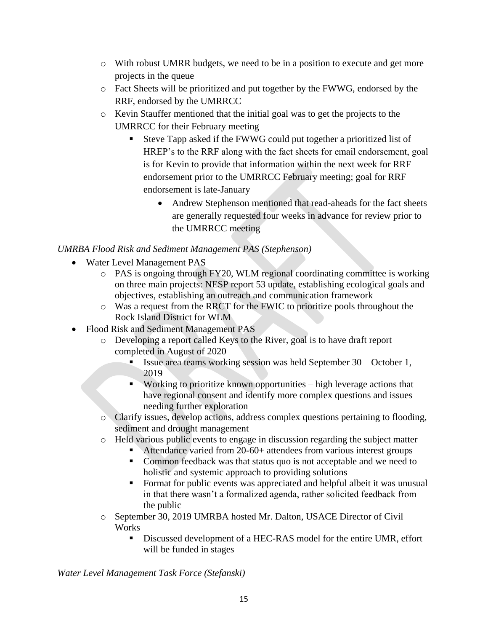- o With robust UMRR budgets, we need to be in a position to execute and get more projects in the queue
- o Fact Sheets will be prioritized and put together by the FWWG, endorsed by the RRF, endorsed by the UMRRCC
- o Kevin Stauffer mentioned that the initial goal was to get the projects to the UMRRCC for their February meeting
	- Steve Tapp asked if the FWWG could put together a prioritized list of HREP's to the RRF along with the fact sheets for email endorsement, goal is for Kevin to provide that information within the next week for RRF endorsement prior to the UMRRCC February meeting; goal for RRF endorsement is late-January
		- Andrew Stephenson mentioned that read-aheads for the fact sheets are generally requested four weeks in advance for review prior to the UMRRCC meeting

# *UMRBA Flood Risk and Sediment Management PAS (Stephenson)*

- Water Level Management PAS
	- o PAS is ongoing through FY20, WLM regional coordinating committee is working on three main projects: NESP report 53 update, establishing ecological goals and objectives, establishing an outreach and communication framework
	- o Was a request from the RRCT for the FWIC to prioritize pools throughout the Rock Island District for WLM
- Flood Risk and Sediment Management PAS
	- o Developing a report called Keys to the River, goal is to have draft report completed in August of 2020
		- Issue area teams working session was held September  $30 -$ October 1, 2019
		- Working to prioritize known opportunities  $-\text{high}$  leverage actions that have regional consent and identify more complex questions and issues needing further exploration
	- o Clarify issues, develop actions, address complex questions pertaining to flooding, sediment and drought management
	- o Held various public events to engage in discussion regarding the subject matter
		- Attendance varied from 20-60+ attendees from various interest groups
		- Common feedback was that status quo is not acceptable and we need to holistic and systemic approach to providing solutions
		- Format for public events was appreciated and helpful albeit it was unusual in that there wasn't a formalized agenda, rather solicited feedback from the public
	- o September 30, 2019 UMRBA hosted Mr. Dalton, USACE Director of Civil **Works** 
		- Discussed development of a HEC-RAS model for the entire UMR, effort will be funded in stages

*Water Level Management Task Force (Stefanski)*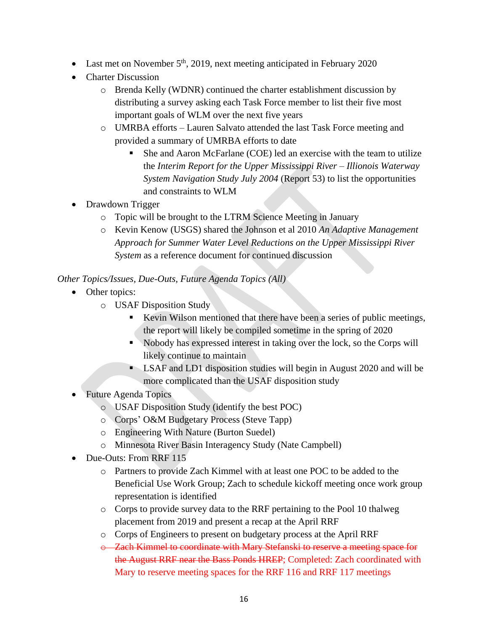- Last met on November  $5<sup>th</sup>$ , 2019, next meeting anticipated in February 2020
- Charter Discussion
	- o Brenda Kelly (WDNR) continued the charter establishment discussion by distributing a survey asking each Task Force member to list their five most important goals of WLM over the next five years
	- o UMRBA efforts Lauren Salvato attended the last Task Force meeting and provided a summary of UMRBA efforts to date
		- She and Aaron McFarlane (COE) led an exercise with the team to utilize the *Interim Report for the Upper Mississippi River – Illionois Waterway System Navigation Study July 2004* (Report 53) to list the opportunities and constraints to WLM
- Drawdown Trigger
	- o Topic will be brought to the LTRM Science Meeting in January
	- o Kevin Kenow (USGS) shared the Johnson et al 2010 *An Adaptive Management Approach for Summer Water Level Reductions on the Upper Mississippi River System* as a reference document for continued discussion

### *Other Topics/Issues, Due-Outs, Future Agenda Topics (All)*

- Other topics:
	- o USAF Disposition Study
		- Kevin Wilson mentioned that there have been a series of public meetings, the report will likely be compiled sometime in the spring of 2020
		- Nobody has expressed interest in taking over the lock, so the Corps will likely continue to maintain
		- **LSAF and LD1 disposition studies will begin in August 2020 and will be** more complicated than the USAF disposition study
- Future Agenda Topics
	- o USAF Disposition Study (identify the best POC)
	- o Corps' O&M Budgetary Process (Steve Tapp)
	- o Engineering With Nature (Burton Suedel)
	- o Minnesota River Basin Interagency Study (Nate Campbell)
- Due-Outs: From RRF 115
	- o Partners to provide Zach Kimmel with at least one POC to be added to the Beneficial Use Work Group; Zach to schedule kickoff meeting once work group representation is identified
	- o Corps to provide survey data to the RRF pertaining to the Pool 10 thalweg placement from 2019 and present a recap at the April RRF
	- o Corps of Engineers to present on budgetary process at the April RRF
	- o Zach Kimmel to coordinate with Mary Stefanski to reserve a meeting space for the August RRF near the Bass Ponds HREP; Completed: Zach coordinated with Mary to reserve meeting spaces for the RRF 116 and RRF 117 meetings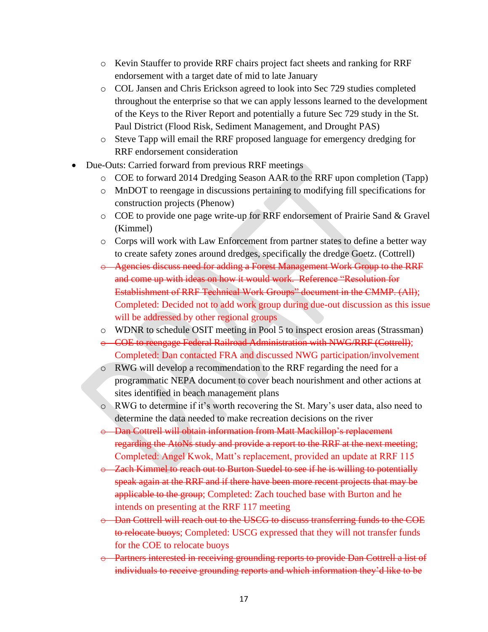- o Kevin Stauffer to provide RRF chairs project fact sheets and ranking for RRF endorsement with a target date of mid to late January
- o COL Jansen and Chris Erickson agreed to look into Sec 729 studies completed throughout the enterprise so that we can apply lessons learned to the development of the Keys to the River Report and potentially a future Sec 729 study in the St. Paul District (Flood Risk, Sediment Management, and Drought PAS)
- o Steve Tapp will email the RRF proposed language for emergency dredging for RRF endorsement consideration
- Due-Outs: Carried forward from previous RRF meetings
	- o COE to forward 2014 Dredging Season AAR to the RRF upon completion (Tapp)
	- o MnDOT to reengage in discussions pertaining to modifying fill specifications for construction projects (Phenow)
	- o COE to provide one page write-up for RRF endorsement of Prairie Sand & Gravel (Kimmel)
	- o Corps will work with Law Enforcement from partner states to define a better way to create safety zones around dredges, specifically the dredge Goetz. (Cottrell)
	- o Agencies discuss need for adding a Forest Management Work Group to the RRF and come up with ideas on how it would work. Reference "Resolution for Establishment of RRF Technical Work Groups" document in the CMMP. (All); Completed: Decided not to add work group during due-out discussion as this issue will be addressed by other regional groups
	- o WDNR to schedule OSIT meeting in Pool 5 to inspect erosion areas (Strassman)
	- o COE to reengage Federal Railroad Administration with NWG/RRF (Cottrell); Completed: Dan contacted FRA and discussed NWG participation/involvement
	- o RWG will develop a recommendation to the RRF regarding the need for a programmatic NEPA document to cover beach nourishment and other actions at sites identified in beach management plans
	- o RWG to determine if it's worth recovering the St. Mary's user data, also need to determine the data needed to make recreation decisions on the river
	- o Dan Cottrell will obtain information from Matt Mackillop's replacement regarding the AtoNs study and provide a report to the RRF at the next meeting; Completed: Angel Kwok, Matt's replacement, provided an update at RRF 115
	- o Zach Kimmel to reach out to Burton Suedel to see if he is willing to potentially speak again at the RRF and if there have been more recent projects that may be applicable to the group; Completed: Zach touched base with Burton and he intends on presenting at the RRF 117 meeting
	- o Dan Cottrell will reach out to the USCG to discuss transferring funds to the COE to relocate buoys; Completed: USCG expressed that they will not transfer funds for the COE to relocate buoys
	- o Partners interested in receiving grounding reports to provide Dan Cottrell a list of individuals to receive grounding reports and which information they'd like to be